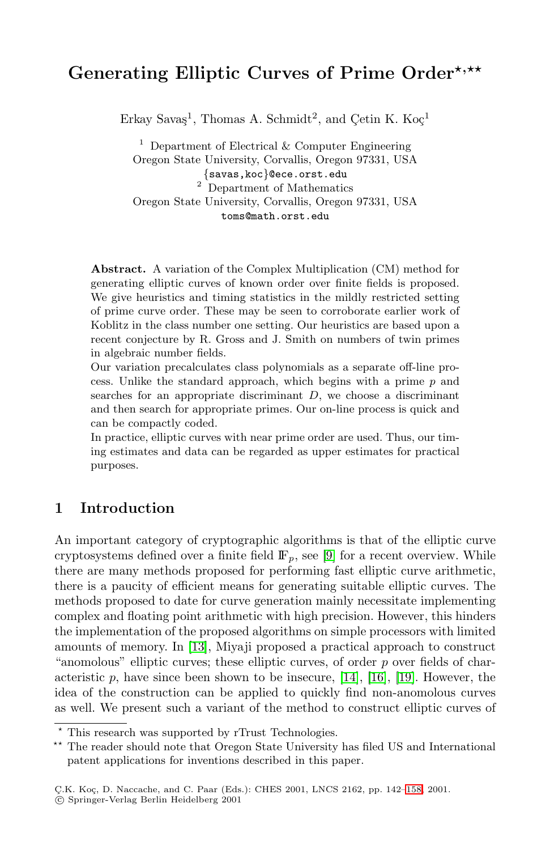# **Generating Elliptic Curves of Prime Order***,*

Erkay Savaş<sup>1</sup>, Thomas A. Schmidt<sup>2</sup>, and Cetin K. Koç<sup>1</sup>

<sup>1</sup> Department of Electrical  $\&$  Computer Engineering Oregon State University, Corvallis, Oregon 97331, USA {savas,koc}@ece.orst.edu <sup>2</sup> Department of Mathematics Oregon State University, Corvallis, Oregon 97331, USA toms@math.orst.edu

Abstract. A variation of the Complex Multiplication (CM) method for generating elliptic curves of known order over finite fields is proposed. We give heuristics and timing statistics in the mildly restricted setting of prime curve order. These may be seen to corroborate earlier work of Koblitz in the class number one setting. Our heuristics are based upon a recent conjecture by R. Gross and J. Smith on numbers of twin primes in algebraic number fields.

Our variation precalculates class polynomials as a separate off-line process. Unlike the standard approach, which begins with a prime p and searches for an appropriate discriminant  $D$ , we choose a discriminant and then search for ap[pro](#page-16-0)priate primes. Our on-line process is quick and can be compactly coded.

In practice, elliptic curves with near prime order are used. Thus, our timing estimates and data can be regarded as upper estimates for practical purposes.

## **1 [In](#page-16-0)troduction**

An important category of cry[ptog](#page-16-0)r[aph](#page-16-0)ic [alg](#page-16-0)orithms is that of the elliptic curve cryptosystems defined over a finite field  $\mathbb{F}_p$ , see [9] for a recent overview. While there are many methods proposed for performing fast elliptic curve arithmetic, there is a paucity of efficient means for generating suitable elliptic curves. The methods proposed to date for curve generation mainly necessitate implementing complex and floating point arithmetic with high precision. However, this hinders the implementation of the proposed algorithms on simple processors with limited amounts of memory. In [13], Miyaji prop[osed](#page-16-0) a practical approach to construct "anomolous" elliptic curves; these elliptic curves, of order  $p$  over fields of characteristic  $p$ , have since been shown to be insecure, [14], [16], [19]. However, the idea of the construction can be applied to quickly find non-anomolous curves as well. We present such a variant of the method to construct elliptic curves of

<sup>\*</sup> This research was supported by rTrust Technologies.

<sup>\*\*</sup> The reader should note that Oregon State University has filed US and International patent applications for inventions described in this paper.

C.K. Koç, D. Naccache, and C. Paar (Eds.): CHES 2001, LNCS 2162, pp. 142-158, 2001. c Springer-Verlag Berlin Heidelberg 2001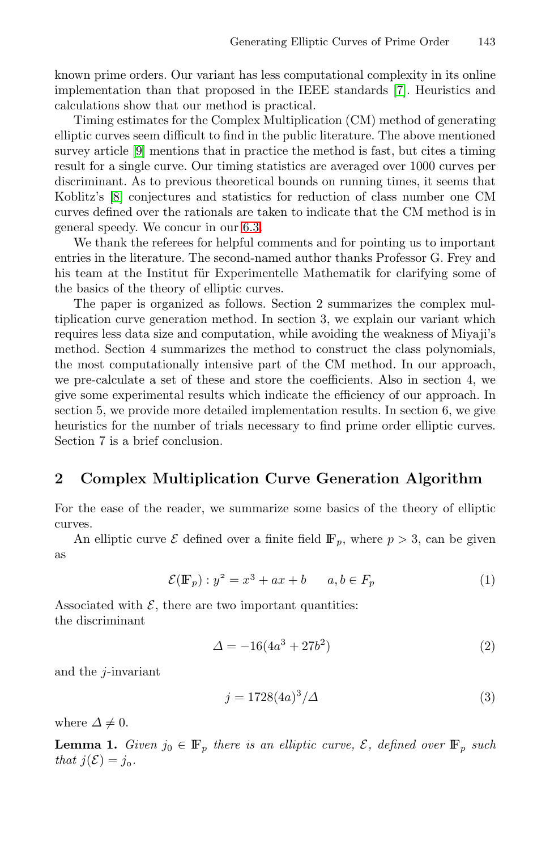known prime orders. Our variant has less computational complexity in its online implementation than that proposed in the IEEE standards [\[7\]](#page-15-0). Heuristics and calculations show that our method is practical.

Timing estimates for the Complex Multiplication (CM) method of generating elliptic curves seem difficult to find in the public literature. The above mentioned survey article [\[9\]](#page-16-0) mentions that in practice the method is fast, but cites a timing result for a single curve. Our timing statistics are averaged over 1000 curves per discriminant. As to previous theoretical bounds on running times, it seems that Koblitz's [\[8\]](#page-15-0) conjectures and statistics for reduction of class number one CM curves defined over the rationals are taken to indicate that the CM method is in general speedy. We concur in our [6.3.](#page-14-0)

We thank the referees for helpful comments and for pointing us to important entries in the literature. The second-named author thanks Professor G. Frey and his team at the Institut für Experimentelle Mathematik for clarifying some of the basics of the theory of elliptic curves.

The paper is organized as follows. Section 2 summarizes the complex multiplication curve generation method. In section 3, we explain our variant which requires less data size and computation, while avoiding the weakness of Miyaji's method. Section 4 summarizes the method to construct the class polynomials, the most computationally intensive part of the CM method. In our approach, we pre-calculate a set of these and store the coefficients. Also in section 4, we give some experimental results which indicate the efficiency of our approach. In section 5, we provide more detailed implementation results. In section 6, we give heuristics for the number of trials necessary to find prime order elliptic curves. Section 7 is a brief conclusion.

## **2 Complex Multiplication Curve Generation Algorithm**

For the ease of the reader, we summarize some basics of the theory of elliptic curves.

An elliptic curve  $\mathcal E$  defined over a finite field  $\mathbb F_p$ , where  $p > 3$ , can be given as

$$
\mathcal{E}(\mathbb{F}_p) : y^2 = x^3 + ax + b \qquad a, b \in F_p \tag{1}
$$

Associated with  $\mathcal{E}$ , there are two important quantities: the discriminant

$$
\Delta = -16(4a^3 + 27b^2) \tag{2}
$$

and the  $j$ -invariant

$$
j = 1728(4a)^3/\Delta \tag{3}
$$

where  $\Delta \neq 0$ .

**Lemma 1.** Given  $j_0 \in \mathbb{F}_p$  there is an elliptic curve,  $\mathcal{E}$ , defined over  $\mathbb{F}_p$  such that  $j(\mathcal{E}) = j_o$ .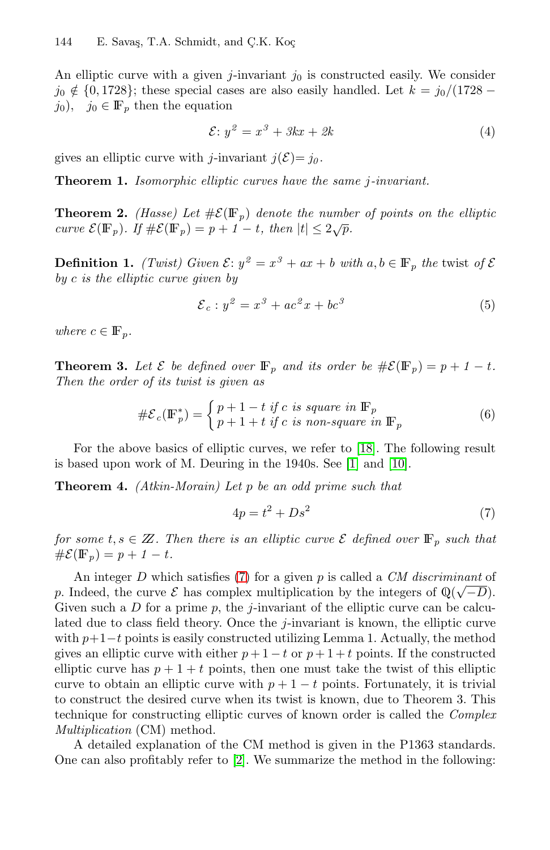<span id="page-2-0"></span>An elliptic curve with a given j-invariant  $j_0$  is constructed easily. We consider  $j_0 \notin \{0, 1728\}$ ; these special cases are also easily handled. Let  $k = j_0/(1728$  $j_0$ ,  $j_0 \in \mathbb{F}_p$  then the equation

$$
\mathcal{E}: y^2 = x^3 + 3kx + 2k \tag{4}
$$

gives an elliptic curve with j-invariant  $j(\mathcal{E})=j_0$ .

**Theorem 1.** Isomorphic elliptic curves have the same j-invariant.

**Theorem 2.** (Hasse) Let  $\#\mathcal{E}(\mathbb{F}_p)$  denote the number of points on the elliptic curve  $\mathcal{E}(\mathbb{F}_p)$ . If  $\#\mathcal{E}(\mathbb{F}_p) = p + 1 - t$ , then  $|t| \leq 2\sqrt{p}$ .

**Definition 1.** (Twist) Given  $\mathcal{E}: y^2 = x^3 + ax + b$  with  $a, b \in \mathbb{F}_p$  the twist of  $\mathcal{E}$ by c is the elliptic curve given by

$$
\mathcal{E}_c: y^2 = x^3 + ac^2x + bc^3 \tag{5}
$$

where  $c \in \mathbb{F}_n$ .

**Theorem 3.** Let  $\mathcal{E}$  be defined over  $\mathbb{F}_p$  and its order be  $\#\mathcal{E}(\mathbb{F}_p) = p + 1 - t$ . Then the order of its twist is given as

$$
\#\mathcal{E}_c(\mathbb{F}_p^*) = \begin{cases} p+1-t & \text{if } c \text{ is square in } \mathbb{F}_p \\ p+1+t & \text{if } c \text{ is non-square in } \mathbb{F}_p \end{cases} \tag{6}
$$

For the above basics of elliptic curves, we refer to [\[18\]](#page-16-0). The following result is based upon work of M. Deuring in the 1940s. See [\[1\]](#page-15-0) and [\[10\]](#page-16-0).

**Theorem 4.** (Atkin-Morain) Let p be an odd prime such that

$$
4p = t^2 + Ds^2 \tag{7}
$$

for some  $t, s \in \mathbb{Z}$ . Then there is an elliptic curve  $\mathcal{E}$  defined over  $\mathbb{F}_n$  such that  $\#\mathcal{E}(\mathbb{F}_p) = p + 1 - t.$ 

An integer  $D$  which satisfies (7) for a given  $p$  is called a  $CM$  discriminant of p. Indeed, the curve  $\mathcal E$  has complex multiplication by the integers of  $\mathbb Q(\sqrt{-D})$ . Given such a  $D$  for a prime  $p$ , the *j*-invariant of the elliptic curve can be calculated due to class field theory. Once the j-invariant is known, the elliptic curve with  $p+1-t$  points is easily constructed utilizing Lemma 1. Actually, the method gives an elliptic curve with either  $p+1-t$  or  $p+1+t$  points. If the constructed elliptic curve has  $p + 1 + t$  points, then one must take the twist of this elliptic curve to obtain an elliptic curve with  $p + 1 - t$  points. Fortunately, it is trivial to construct the desired curve when its twist is known, due to Theorem 3. This technique for constructing elliptic curves of known order is called the Complex Multiplication (CM) method.

A detailed explanation of the CM method is given in the P1363 standards. One can also profitably refer to [\[2\]](#page-15-0). We summarize the method in the following: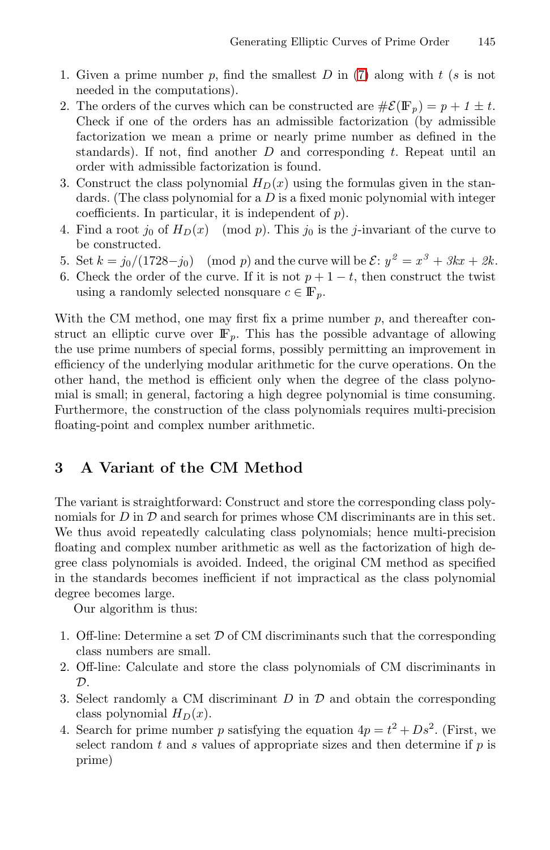- 1. Given a prime number p, find the smallest  $D$  in [\(7\)](#page-2-0) along with  $t$  (s is not needed in the computations).
- 2. The orders of the curves which can be constructed are  $\#\mathcal{E}(\mathbb{F}_p) = p + 1 \pm t$ . Check if one of the orders has an admissible factorization (by admissible factorization we mean a prime or nearly prime number as defined in the standards). If not, find another  $D$  and corresponding  $t$ . Repeat until an order with admissible factorization is found.
- 3. Construct the class polynomial  $H_D(x)$  using the formulas given in the standards. (The class polynomial for a  $D$  is a fixed monic polynomial with integer coefficients. In particular, it is independent of  $p$ ).
- 4. Find a root  $j_0$  of  $H_D(x)$  (mod p). This  $j_0$  is the j-invariant of the curve to be constructed.
- 5. Set  $k = j_0/(1728-j_0) \pmod{p}$  and the curve will be  $\mathcal{E}: y^2 = x^3 + 3kx + 2k$ .
- 6. Check the order of the curve. If it is not  $p + 1 t$ , then construct the twist using a randomly selected nonsquare  $c \in \mathbb{F}_p$ .

With the CM method, one may first fix a prime number  $p$ , and thereafter construct an elliptic curve over  $\mathbb{F}_p$ . This has the possible advantage of allowing the use prime numbers of special forms, possibly permitting an improvement in efficiency of the underlying modular arithmetic for the curve operations. On the other hand, the method is efficient only when the degree of the class polynomial is small; in general, factoring a high degree polynomial is time consuming. Furthermore, the construction of the class polynomials requires multi-precision floating-point and complex number arithmetic.

## **3 A Variant of the CM Method**

The variant is straightforward: Construct and store the corresponding class polynomials for  $D$  in  $D$  and search for primes whose CM discriminants are in this set. We thus avoid repeatedly calculating class polynomials; hence multi-precision floating and complex number arithmetic as well as the factorization of high degree class polynomials is avoided. Indeed, the original CM method as specified in the standards becomes inefficient if not impractical as the class polynomial degree becomes large.

Our algorithm is thus:

- 1. Off-line: Determine a set  $\mathcal D$  of CM discriminants such that the corresponding class numbers are small.
- 2. Off-line: Calculate and store the class polynomials of CM discriminants in  $\mathcal{D}$ .
- 3. Select randomly a CM discriminant  $D$  in  $\mathcal D$  and obtain the corresponding class polynomial  $H_D(x)$ .
- 4. Search for prime number p satisfying the equation  $4p = t^2 + Ds^2$ . (First, we select random t and s values of appropriate sizes and then determine if  $p$  is prime)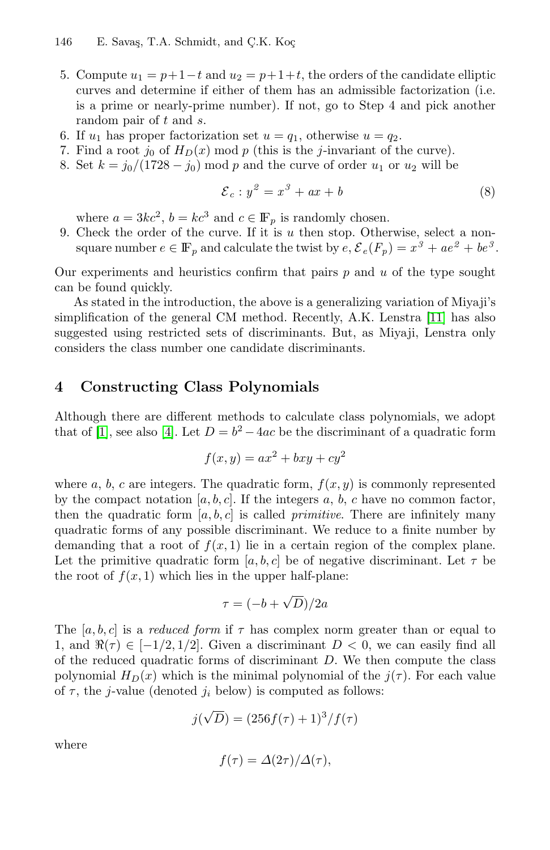- 5. Compute  $u_1 = p+1-t$  and  $u_2 = p+1+t$ , the orders of the candidate elliptic curves and determine if either of them has an admissible factorization (i.e. is a prime or nearly-prime number). If not, go to Step 4 and pick another random pair of t and s.
- 6. If  $u_1$  has proper factorization set  $u = q_1$ , otherwise  $u = q_2$ .
- 7. Find a root  $j_0$  of  $H_D(x)$  mod p (this is the j-invariant of the curve).
- 8. Set  $k = j_0/(1728 j_0) \mod p$  and the curve of order  $u_1$  or  $u_2$  will be

$$
\mathcal{E}_c: y^2 = x^3 + ax + b \tag{8}
$$

where  $a = 3kc^2$ ,  $b = kc^3$  and  $c \in \mathbb{F}_p$  is randomly chosen.

9. Check the order of the curve. If it is u then stop. Otherwise, select a nonsquare number  $e \in \mathbb{F}_p$  and calculate the twist by  $e, \mathcal{E}_e(F_p) = x^3 + ae^2 + be^3$ .

Our experiments and heuristics confirm that pairs  $p$  and  $u$  of the type sought can be found quickly.

As stated in the introduction, the above is a generalizing variation of Miyaji's simplification of the general CM method. Recently, A.K. Lenstra [\[11\]](#page-16-0) has also suggested using restricted sets of discriminants. But, as Miyaji, Lenstra only considers the class number one candidate discriminants.

### **4Constructing Class Polynomials**

Although there are different methods to calculate class polynomials, we adopt that of [\[1\]](#page-15-0), see also [\[4\]](#page-15-0). Let  $D = b^2 - 4ac$  be the discriminant of a quadratic form

$$
f(x, y) = ax^2 + bxy + cy^2
$$

where a, b, c are integers. The quadratic form,  $f(x, y)$  is commonly represented by the compact notation [a, b, c]. If the integers a, b, c have no common factor, then the quadratic form  $[a, b, c]$  is called *primitive*. There are infinitely many quadratic forms of any possible discriminant. We reduce to a finite number by demanding that a root of  $f(x, 1)$  lie in a certain region of the complex plane. Let the primitive quadratic form  $[a, b, c]$  be of negative discriminant. Let  $\tau$  be the root of  $f(x, 1)$  which lies in the upper half-plane:

$$
\tau = (-b + \sqrt{D})/2a
$$

The [a, b, c] is a reduced form if  $\tau$  has complex norm greater than or equal to 1, and  $\Re(\tau) \in [-1/2, 1/2]$ . Given a discriminant  $D < 0$ , we can easily find all of the reduced quadratic forms of discriminant  $D$ . We then compute the class polynomial  $H_D(x)$  which is the minimal polynomial of the  $j(\tau)$ . For each value of  $\tau$ , the *j*-value (denoted  $j_i$  below) is computed as follows:

> j(  $\sqrt{D}$ ) =  $(256f(\tau) + 1)^3/f(\tau)$

where

$$
f(\tau) = \Delta(2\tau)/\Delta(\tau),
$$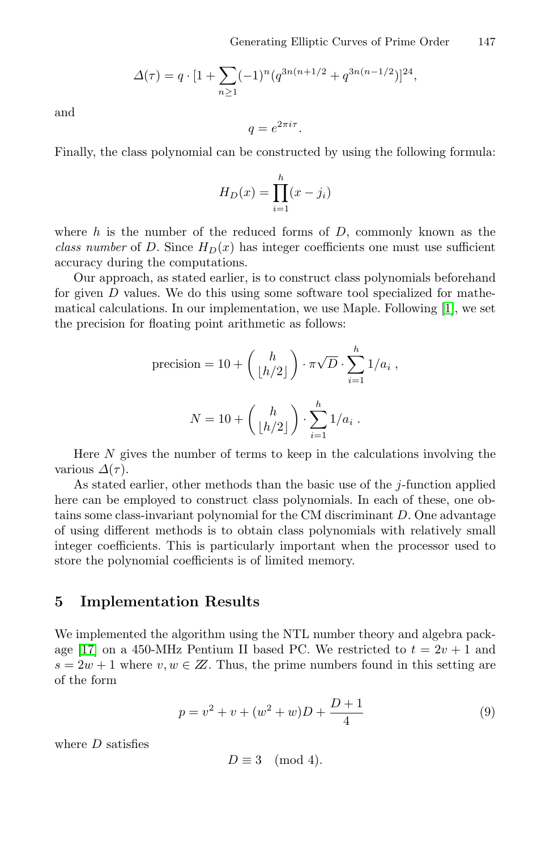$$
\Delta(\tau) = q \cdot [1 + \sum_{n \ge 1} (-1)^n (q^{3n(n+1/2)} + q^{3n(n-1/2)})]^{24},
$$

<span id="page-5-0"></span>and

$$
q = e^{2\pi i \tau}.
$$

Finally, the class polynomial can be constructed by using the following formula:

$$
H_D(x) = \prod_{i=1}^h (x - j_i)
$$

where h is the number of the reduced forms of  $D$ , commonly known as the class number of D. Since  $H_D(x)$  has integer coefficients one must use sufficient accuracy during the computations.

Our approach, as stated earlier, is to construct class polynomials beforehand for given  $D$  values. We do this using some software tool specialized for mathematical calculations. In our implementation, we use Maple. Following [\[1\]](#page-15-0), we set the precision for floating point arithmetic as follows:

$$
\text{precision} = 10 + \left(\frac{h}{\lfloor h/2 \rfloor}\right) \cdot \pi \sqrt{D} \cdot \sum_{i=1}^{h} 1/a_i ,
$$
\n
$$
N = 10 + \left(\frac{h}{\lfloor h/2 \rfloor}\right) \cdot \sum_{i=1}^{h} 1/a_i .
$$

Here  $N$  gives the number of terms to keep in the calculations involving the various  $\Delta(\tau)$ .

As stated earlier, other methods than the basic use of the j-function applied here can be employed to construct class polynomials. In each of these, one obtains some class-invariant polynomial for the CM discriminant D. One advantage of using different methods is to obtain class polynomials with relatively small integer coefficients. This is particularly important when the processor used to store the polynomial coefficients is of limited memory.

#### **5 Implementation Results**

We implemented the algorithm using the NTL number theory and algebra pack-age [\[17\]](#page-16-0) on a 450-MHz Pentium II based PC. We restricted to  $t = 2v + 1$  and  $s = 2w + 1$  where  $v, w \in \mathbb{Z}$ . Thus, the prime numbers found in this setting are of the form

$$
p = v2 + v + (w2 + w)D + \frac{D+1}{4}
$$
 (9)

where  $D$  satisfies

$$
D \equiv 3 \pmod{4}.
$$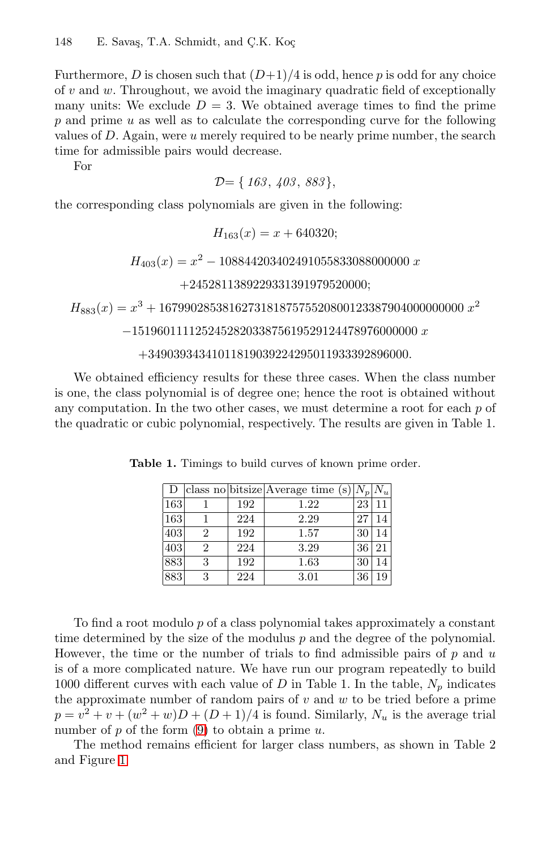Furthermore, D is chosen such that  $(D+1)/4$  is odd, hence p is odd for any choice of  $v$  and  $w$ . Throughout, we avoid the imaginary quadratic field of exceptionally many units: We exclude  $D = 3$ . We obtained average times to find the prime  $p$  and prime  $u$  as well as to calculate the corresponding curve for the following values of  $D$ . Again, were  $u$  merely required to be nearly prime number, the search time for admissible pairs would decrease.

For

 $\mathcal{D} = \{ 163, 403, 883 \},\$ 

the corresponding class polynomials are given in the following:

$$
H_{163}(x) = x + 640320;
$$
  
\n
$$
H_{403}(x) = x^2 - 108844203402491055833088000000 \ x + 2452811389229331391979520000;
$$
  
\n
$$
H_{883}(x) = x^3 + 167990285381627318187575520800123387904000000000 \ x^2
$$
  
\n
$$
-151960111125245282033875619529124478976000000 \ x + 34903934341011819039224295011933392896000.
$$

We obtained efficiency results for these three cases. When the class number is one, the class polynomial is of degree one; hence the root is obtained without any computation. In the two other cases, we must determine a root for each  $p$  of the quadratic or cubic polynomial, respectively. The results are given in Table 1.

|     |                             |     | class no bitsize Average time (s) $ N_p N_u $ |    |                  |
|-----|-----------------------------|-----|-----------------------------------------------|----|------------------|
| 163 |                             | 192 | 1.22                                          | 23 |                  |
| 163 |                             | 224 | 2.29                                          | 27 | 14               |
| 403 | 2                           | 192 | 1.57                                          | 30 | 14               |
| 403 | $\mathcal{D}_{\mathcal{L}}$ | 224 | 3.29                                          | 36 | $\vert 21 \vert$ |
| 883 | 3                           | 192 | 1.63                                          | 30 | 14               |
| 883 | 3                           | 224 | 3.01                                          | 36 | 19               |

**Table 1.** Timings to build curves of known prime order.

To find a root modulo  $p$  of a class polynomial takes approximately a constant time determined by the size of the modulus  $p$  and the degree of the polynomial. However, the time or the number of trials to find admissible pairs of  $p$  and  $u$ is of a more complicated nature. We have run our program repeatedly to build 1000 different curves with each value of D in Table 1. In the table,  $N_p$  indicates the approximate number of random pairs of  $v$  and  $w$  to be tried before a prime  $p = v^2 + v + (w^2 + w)D + (D + 1)/4$  is found. Similarly,  $N_u$  is the average trial number of  $p$  of the form  $(9)$  to obtain a prime  $u$ .

The method remains efficient for larger class numbers, as shown in Table 2 and Figure [1.](#page-7-0)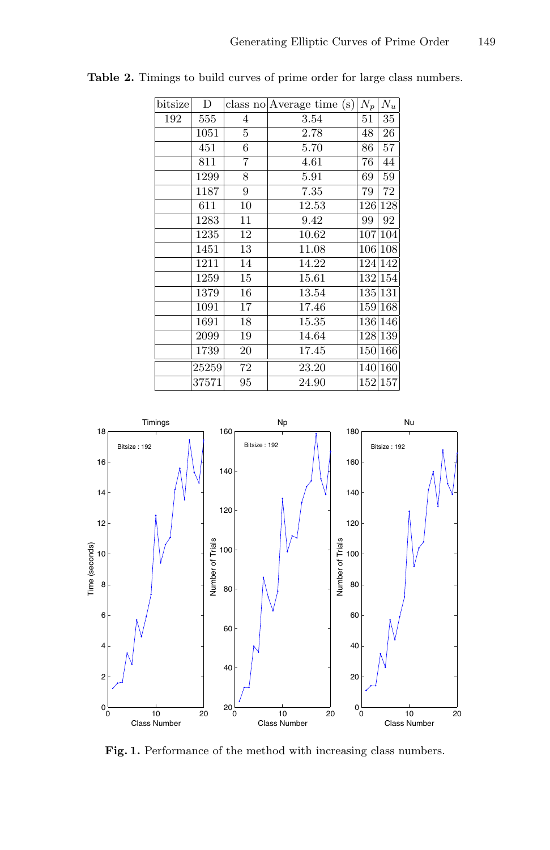| bitsize | D     |                | class no Average time $(s)$ | $N_p$   | $N_u$   |
|---------|-------|----------------|-----------------------------|---------|---------|
| 192     | 555   | 4              | 3.54                        | 51      | 35      |
|         | 1051  | $\bf 5$        | 2.78                        | 48      | 26      |
|         | 451   | 6              | 5.70                        | 86      | 57      |
|         | 811   | $\overline{7}$ | 4.61                        | 76      | 44      |
|         | 1299  | 8              | 5.91                        | 69      | 59      |
|         | 1187  | 9              | 7.35                        | 79      | 72      |
|         | 611   | 10             | 12.53                       | 126     | 128     |
|         | 1283  | 11             | 9.42                        | 99      | 92      |
|         | 1235  | 12             | 10.62                       |         | 107 104 |
|         | 1451  | 13             | 11.08                       |         | 106 108 |
|         | 1211  | 14             | 14.22                       |         | 124 142 |
|         | 1259  | 15             | 15.61                       |         | 132 154 |
|         | 1379  | 16             | 13.54                       | 135 131 |         |
|         | 1091  | 17             | 17.46                       |         | 159 168 |
|         | 1691  | 18             | 15.35                       |         | 136 146 |
|         | 2099  | 19             | 14.64                       |         | 128 139 |
|         | 1739  | 20             | 17.45                       |         | 150 166 |
|         | 25259 | 72             | 23.20                       |         | 140 160 |
|         | 37571 | 95             | 24.90                       |         | 152 157 |

<span id="page-7-0"></span>**Table 2.** Timings to build curves of prime order for large class numbers.



**Fig. 1.** Performance of the method with increasing class numbers.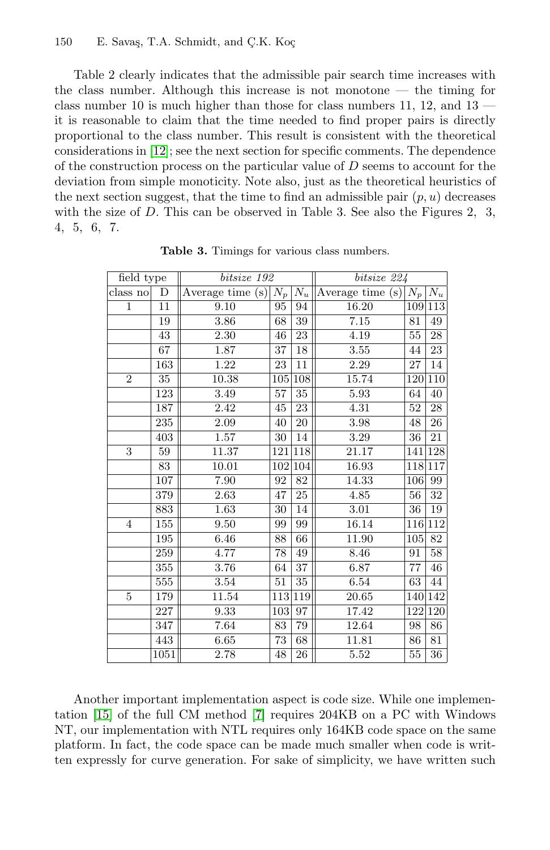Table 2 clearly indicates that the admissible pair search time increases with the class number. Although this increase is not monotone  $-$  the timing for class number 10 is much higher than those for class numbers 11, 12, and  $13$  it is reasonable to claim that the time needed to find proper pairs is directly proportional to the class number. This result is consistent with the theoretical considerations in [\[12\]](#page-16-0); see the next section for specific comments. The dependence of the construction process on the particular value of D seems to account for the deviation from simple monoticity. Note also, just as the theoretical heuristics of the next section suggest, that the time to find an admissible pair  $(p, u)$  decreases with the size of D. This can be observed in Table 3. See also the Figures 2, 3, 4, 5, 6, 7.

| field type     |        | bitsize 192      |                 |                 | bitsize 224      |       |                  |
|----------------|--------|------------------|-----------------|-----------------|------------------|-------|------------------|
| class no       | D      | Average time (s) | $N_p$           | $N_u$           | Average time (s) | $N_p$ | $N_u$            |
| $\mathbf{1}$   | 11     | 9.10             | 95              | 94              | 16.20            |       | 109 113          |
|                | 19     | 3.86             | 68              | 39              | 7.15             | 81    | 49               |
|                | 43     | 2.30             | 46              | $\overline{23}$ | 4.19             | 55    | $\overline{28}$  |
|                | 67     | 1.87             | 37              | 18              | 3.55             | 44    | 23               |
|                | 163    | 1.22             | 23              | 11              | 2.29             | 27    | 14               |
| $\overline{2}$ | 35     | 10.38            |                 | 105 108         | 15.74            | 120   | 110              |
|                | 123    | 3.49             | $57\,$          | $\overline{35}$ | 5.93             | 64    | 40               |
|                | 187    | 2.42             | 45              | 23              | 4.31             | 52    | 28               |
|                | 235    | 2.09             | 40              | 20              | 3.98             | 48    | 26               |
|                | 403    | 1.57             | 30              | 14              | 3.29             | 36    | $\overline{21}$  |
| 3              | $59\,$ | 11.37            | 121             | 118             | 21.17            | 141   | 128              |
|                | 83     | 10.01            | 102             | 104             | 16.93            | 118   | 117              |
|                | 107    | 7.90             | 92              | 82              | 14.33            | 106   | 99               |
|                | 379    | 2.63             | 47              | $25\,$          | 4.85             | 56    | 32               |
|                | 883    | 1.63             | 30              | 14              | 3.01             | 36    | 19               |
| $\overline{4}$ | 155    | 9.50             | 99              | 99              | 16.14            | 116   | $\overline{112}$ |
|                | 195    | 6.46             | 88              | 66              | 11.90            | 105   | 82               |
|                | 259    | 4.77             | 78              | 49              | 8.46             | 91    | 58               |
|                | 355    | 3.76             | 64              | 37              | 6.87             | 77    | 46               |
|                | 555    | 3.54             | $\overline{51}$ | 35              | 6.54             | 63    | 44               |
| 5              | 179    | 11.54            | 113 119         |                 | 20.65            | 140   | 142              |
|                | 227    | 9.33             | 103             | 97              | 17.42            | 122   | 120              |
|                | 347    | 7.64             | 83              | 79              | 12.64            | 98    | 86               |
|                | 443    | 6.65             | 73              | 68              | 11.81            | 86    | 81               |
|                | 1051   | 2.78             | 48              | $26\,$          | 5.52             | 55    | 36               |

**Table 3.** Timings for various class numbers.

Another important implementation aspect is code size. While one implementation [\[15\]](#page-16-0) of the full CM method [\[7\]](#page-15-0) requires 204KB on a PC with Windows NT, our implementation with NTL requires only 164KB code space on the same platform. In fact, the code space can be made much smaller when code is written expressly for curve generation. For sake of simplicity, we have written such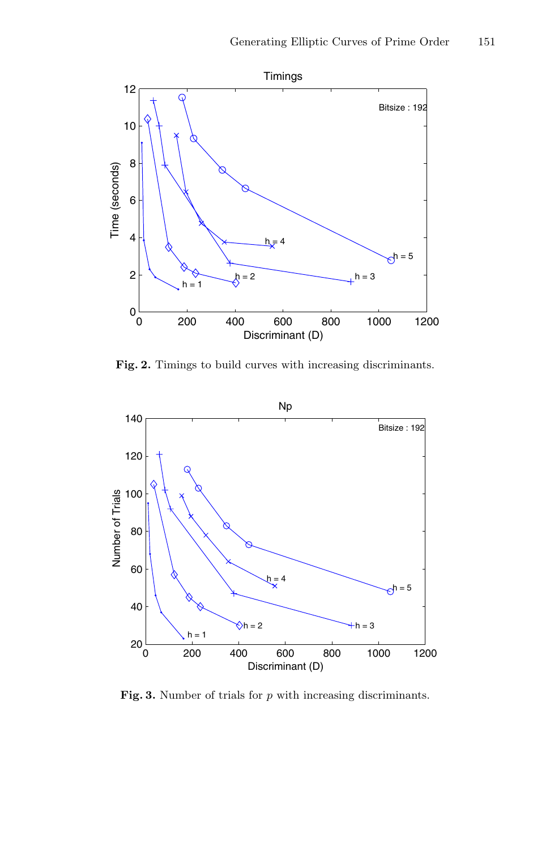

**Fig. 2.** Timings to build curves with increasing discriminants.



Fig. 3. Number of trials for p with increasing discriminants.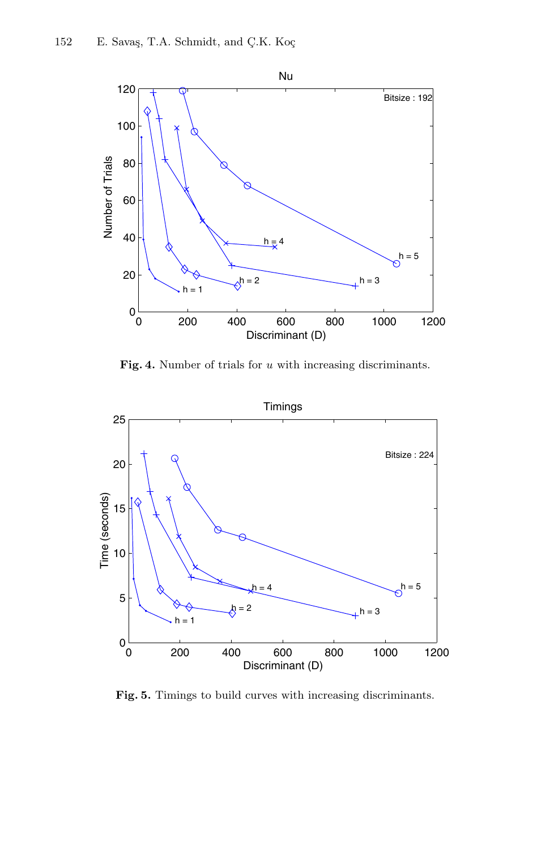

**Fig. 4.** Number of trials for u with increasing discriminants.



**Fig. 5.** Timings to build curves with increasing discriminants.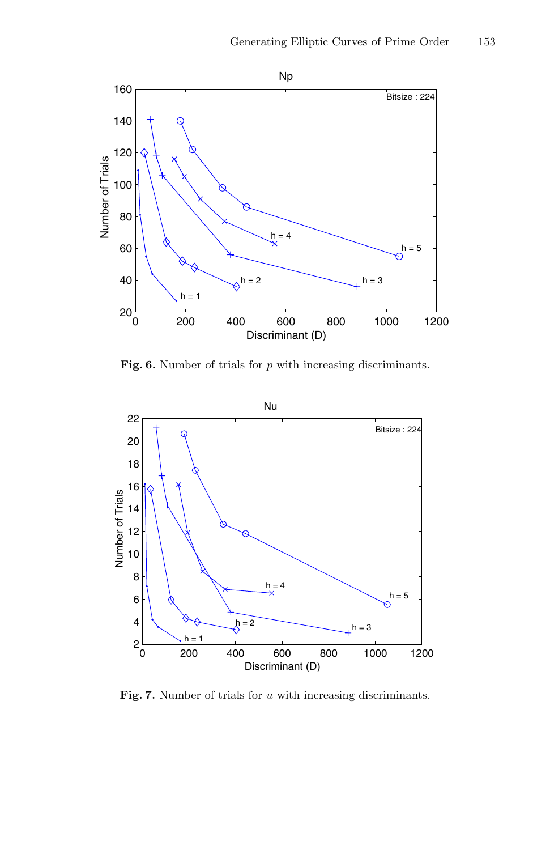

Fig. 6. Number of trials for p with increasing discriminants.



Fig. 7. Number of trials for u with increasing discriminants.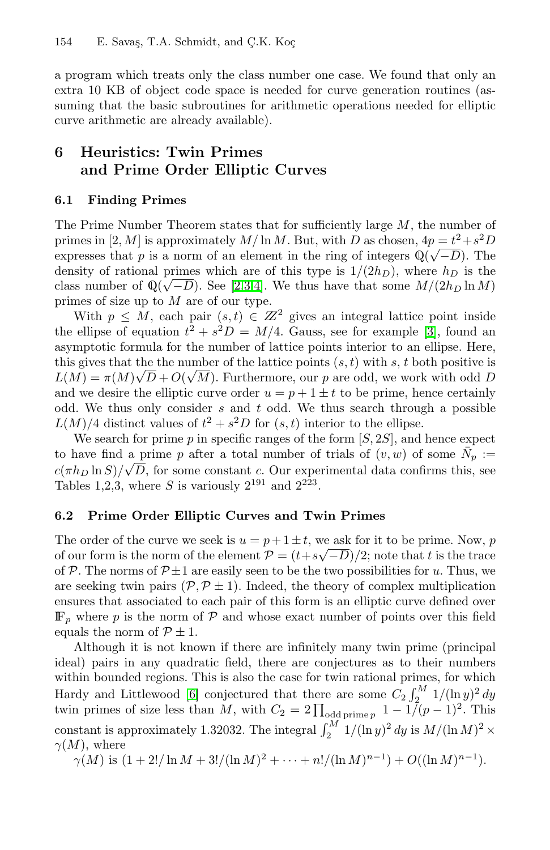a program which treats only the class number one case. We found that only an extra 10 KB of object code space is needed for curve generation routines (assuming that the basic subroutines for arithmetic operations needed for elliptic curve arithmetic are already available).

## **6 Heuristics: Twin Primes and Prime Order Elliptic Curves**

### **6.1 Finding Primes**

The Prime Number Theorem states that for sufficiently large M, the number of primes in [2, M] is approximately  $M/\ln M$ . But, with D as chosen,  $4p = t^2 + s^2D$ expresses that p is a norm of an element in the ring of integers  $\mathbb{Q}(\sqrt{-D})$ . The density of rational primes which are of this type is  $1/(2h_D)$ , where  $h_D$  is the class number of  $\mathbb{Q}(\sqrt{-D})$ . See [\[2,3,4\]](#page-15-0). We thus have that some  $M/(2h_D \ln M)$ primes of size up to M are of our type.

With  $p \leq M$ , each pair  $(s, t) \in \mathbb{Z}^2$  gives an integral lattice point inside the ellipse of equation  $t^2 + s^2D = M/4$ . Gauss, see for example [\[3\]](#page-15-0), found an asymptotic formula for the number of lattice points interior to an ellipse. Here, this gives that the the number of the lattice points  $(s, t)$  with s, t both positive is  $L(M) = \pi(M)\sqrt{D} + O(\sqrt{M})$ . Furthermore, our p are odd, we work with odd D and we desire the elliptic curve order  $u = p + 1 \pm t$  to be prime, hence certainly odd. We thus only consider s and t odd. We thus search through a possible  $L(M)/4$  distinct values of  $t^2 + s^2D$  for  $(s, t)$  interior to the ellipse.

We search for prime  $p$  in specific ranges of the form  $[S, 2S]$ , and hence expect to have find a prime p after a total number of trials of  $(v, w)$  of some  $\overline{N}_p :=$  $c(\pi h_D \ln S)/\sqrt{D}$ , for some constant c. Our experimental data confirms this, see Tables 1,2,3, where S is variously  $2^{191}$  and  $2^{223}$ .

### **6.2 Prime Order Elliptic Curves and Twin Primes**

The order of the curve we seek is  $u = p + 1 \pm t$ , we ask for it to be prime. Now, p The order of the curve we seek is  $u = p + 1 \pm t$ , we ask for it to be prime. Now, p<br>of our form is the norm of the element  $\mathcal{P} = (t + s\sqrt{-D})/2$ ; note that t is the trace of P. The norms of  $P\pm 1$  are easily seen to be the two possibilities for u. Thus, we are seeking twin pairs  $(\mathcal{P}, \mathcal{P} \pm 1)$ . Indeed, the theory of complex multiplication ensures that associated to each pair of this form is an elliptic curve defined over  $\mathbb{F}_p$  where p is the norm of P and whose exact number of points over this field equals the norm of  $P \pm 1$ .

Although it is not known if there are infinitely many twin prime (principal ideal) pairs in any quadratic field, there are conjectures as to their numbers within bounded regions. This is also the case for twin rational primes, for which Hardy and Littlewood [\[6\]](#page-15-0) conjectured that there are some  $C_2 \int_2^M 1/(\ln y)^2 dy$ twin primes of size less than M, with  $C_2 = 2 \prod_{\text{odd prime } p} 1 - 1/(p-1)^2$ . This constant is approximately 1.32032. The integral  $\int_2^M 1/(\ln y)^2 dy$  is  $M/(\ln M)^2 \times$  $\gamma(M)$ , where

 $\gamma(M)$  is  $(1+2!/ \ln M + 3!/(\ln M)^2 + \cdots + n!/(\ln M)^{n-1}) + O((\ln M)^{n-1}).$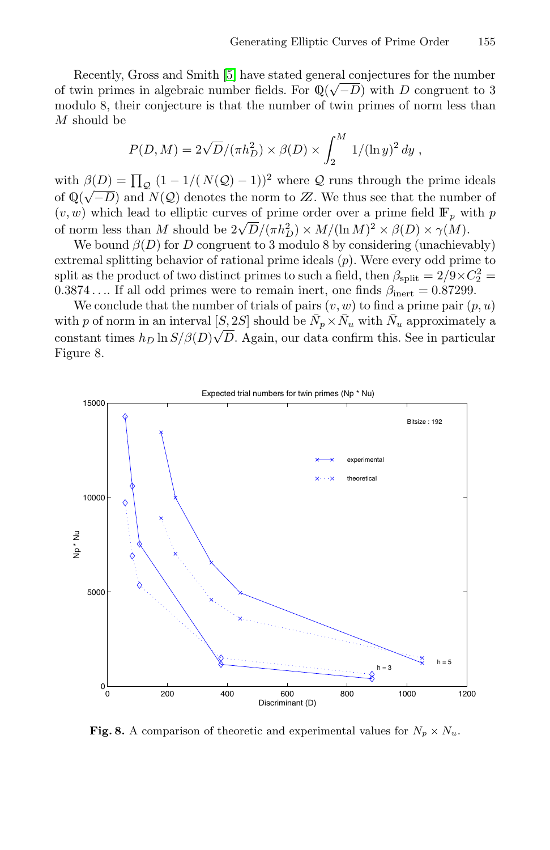Recently, Gross and Smith [\[5\]](#page-15-0) have stated general conjectures for the number of twin primes in algebraic number fields. For  $\mathbb{Q}(\sqrt{-D})$  with D congruent to 3 modulo 8, their conjecture is that the number of twin primes of norm less than M should be

$$
P(D, M) = 2\sqrt{D}/(\pi h_D^2) \times \beta(D) \times \int_2^M 1/(\ln y)^2 \, dy,
$$

with  $\beta(D) = \prod_{\mathcal{Q}} (1 - 1/(N(\mathcal{Q}) - 1))^2$  where  $\mathcal Q$  runs through the prime ideals of  $\mathbb{Q}(\sqrt{-D})$  and  $N(\mathcal{Q})$  denotes the norm to  $\mathbb{Z}$ . We thus see that the number of  $(v, w)$  which lead to elliptic curves of prime order over a prime field  $\mathbb{F}_p$  with p (*v*, *w*) which lead to emptic curves of prime order over a prime next  $\mathbf{r}_p$  w.<br>of norm less than *M* should be  $2\sqrt{D}/(\pi h_D^2) \times M/(\ln M)^2 \times \beta(D) \times \gamma(M)$ .

We bound  $\beta(D)$  for D congruent to 3 modulo 8 by considering (unachievably) extremal splitting behavior of rational prime ideals (p). Were every odd prime to split as the product of two distinct primes to such a field, then  $\beta_{split} = 2/9 \times C_2^2$  $0.3874...$  If all odd primes were to remain inert, one finds  $\beta_{\text{inert}} = 0.87299$ .

We conclude that the number of trials of pairs  $(v, w)$  to find a prime pair  $(p, u)$ with p of norm in an interval  $[S, 2S]$  should be  $\bar{N}_p \times \bar{N}_u$  with  $\bar{N}_u$  approximately a constant times  $h_D \ln S/\beta(D)\sqrt{D}$ . Again, our data confirm this. See in particular Figure 8.



**Fig. 8.** A comparison of theoretic and experimental values for  $N_p \times N_u$ .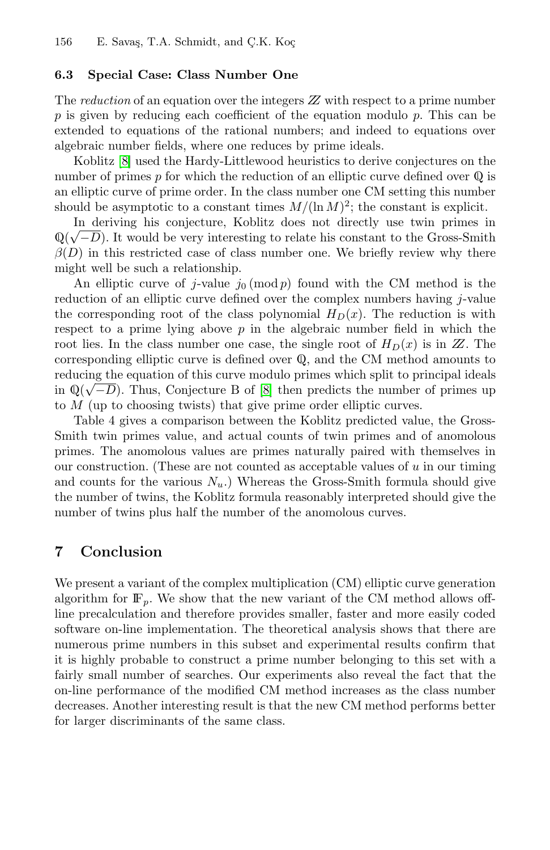#### <span id="page-14-0"></span>**6.3 Special Case: Class Number One**

The *reduction* of an equation over the integers  $Z$  with respect to a prime number  $p$  is given by reducing each coefficient of the equation modulo  $p$ . This can be extended to equations of the rational numbers; and indeed to equations over algebraic number fields, where one reduces by prime ideals.

Koblitz [\[8\]](#page-15-0) used the Hardy-Littlewood heuristics to derive conjectures on the number of primes  $p$  for which the reduction of an elliptic curve defined over  $\mathbb Q$  is an elliptic curve of prime order. In the class number one CM setting this number should be asymptotic to a constant times  $M/(\ln M)^2$ ; the constant is explicit.

In deriving his conjecture, Koblitz does not directly use twin primes in  $\mathbb{Q}(\sqrt{-D})$ . It would be very interesting to relate his constant to the Gross-Smith  $\beta(D)$  in this restricted case of class number one. We briefly review why there might well be such a relationship.

An elliptic curve of j-value  $j_0 \pmod{p}$  found with the CM method is the reduction of an elliptic curve defined over the complex numbers having j-value the corresponding root of the class polynomial  $H_D(x)$ . The reduction is with respect to a prime lying above  $p$  in the algebraic number field in which the root lies. In the class number one case, the single root of  $H_D(x)$  is in  $Z$ . The corresponding elliptic curve is defined over Q, and the CM method amounts to reducing the equation of this curve modulo primes which split to principal ideals in  $\mathbb{Q}(\sqrt{-D})$ . Thus, Conjecture B of [\[8\]](#page-15-0) then predicts the number of primes up to M (up to choosing twists) that give prime order elliptic curves.

Table 4 gives a comparison between the Koblitz predicted value, the Gross-Smith twin primes value, and actual counts of twin primes and of anomolous primes. The anomolous values are primes naturally paired with themselves in our construction. (These are not counted as acceptable values of  $u$  in our timing and counts for the various  $N_u$ .) Whereas the Gross-Smith formula should give the number of twins, the Koblitz formula reasonably interpreted should give the number of twins plus half the number of the anomolous curves.

### **7 Conclusion**

We present a variant of the complex multiplication (CM) elliptic curve generation algorithm for  $\mathbb{F}_p$ . We show that the new variant of the CM method allows offline precalculation and therefore provides smaller, faster and more easily coded software on-line implementation. The theoretical analysis shows that there are numerous prime numbers in this subset and experimental results confirm that it is highly probable to construct a prime number belonging to this set with a fairly small number of searches. Our experiments also reveal the fact that the on-line performance of the modified CM method increases as the class number decreases. Another interesting result is that the new CM method performs better for larger discriminants of the same class.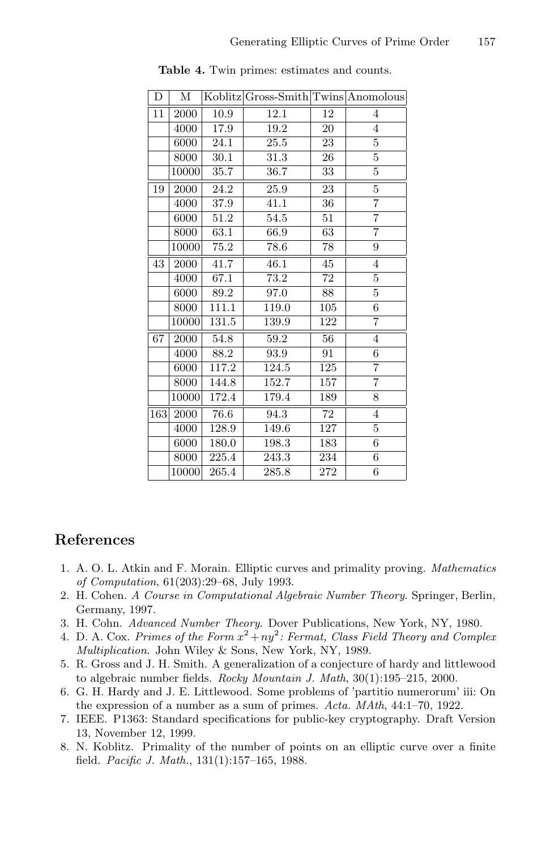<span id="page-15-0"></span>

| D   | М                 |       | Koblitz Gross-Smith Twins Anomolous |     |                |
|-----|-------------------|-------|-------------------------------------|-----|----------------|
| 11  | 2000              | 10.9  | 12.1                                | 12  | $\overline{4}$ |
|     | 4000              | 17.9  | 19.2                                | 20  | $\overline{4}$ |
|     | 6000              | 24.1  | 25.5                                | 23  | $\overline{5}$ |
|     | 8000              | 30.1  | 31.3                                | 26  | $\overline{5}$ |
|     | 10000             | 35.7  | 36.7                                | 33  | $\overline{5}$ |
| 19  | 2000              | 24.2  | 25.9                                | 23  | $\overline{5}$ |
|     | 4000              | 37.9  | 41.1                                | 36  | $\overline{7}$ |
|     | 6000              | 51.2  | 54.5                                | 51  | $\overline{7}$ |
|     | 8000              | 63.1  | 66.9                                | 63  | $\overline{7}$ |
|     | 10000             | 75.2  | 78.6                                | 78  | 9              |
| 43  | 2000              | 41.7  | 46.1                                | 45  | $\overline{4}$ |
|     | 4000              | 67.1  | 73.2                                | 72  | $\overline{5}$ |
|     | 6000              | 89.2  | 97.0                                | 88  | $\overline{5}$ |
|     | 8000              | 111.1 | 119.0                               | 105 | $\,6$          |
|     | 10000             | 131.5 | 139.9                               | 122 | $\overline{7}$ |
| 67  | $\overline{2000}$ | 54.8  | 59.2                                | 56  | $\overline{4}$ |
|     | 4000              | 88.2  | 93.9                                | 91  | $\overline{6}$ |
|     | 6000              | 117.2 | 124.5                               | 125 | $\overline{7}$ |
|     | 8000              | 144.8 | 152.7                               | 157 | $\overline{7}$ |
|     | 10000             | 172.4 | 179.4                               | 189 | 8              |
| 163 | 2000              | 76.6  | 94.3                                | 72  | $\overline{4}$ |
|     | 4000              | 128.9 | 149.6                               | 127 | $\overline{5}$ |
|     | 6000              | 180.0 | 198.3                               | 183 | $\overline{6}$ |
|     | 8000              | 225.4 | 243.3                               | 234 | 6              |
|     | 10000             | 265.4 | 285.8                               | 272 | 6              |

**Table 4.** Twin primes: estimates and counts.

## **References**

- 1. A. O. L. Atkin and F. Morain. Elliptic curves and primality proving. Mathematics of Computation, 61(203):29–68, July 1993.
- 2. H. Cohen. A Course in Computational Algebraic Number Theory. Springer, Berlin, Germany, 1997.
- 3. H. Cohn. Advanced Number Theory. Dover Publications, New York, NY, 1980.
- 4. D. A. Cox. Primes of the Form  $x^2 + ny^2$ : Fermat, Class Field Theory and Complex Multiplication. John Wiley & Sons, New York, NY, 1989.
- 5. R. Gross and J. H. Smith. Ageneralization of a conjecture of hardy and littlewood to algebraic number fields. Rocky Mountain J. Math, 30(1):195–215, 2000.
- 6. G. H. Hardy and J. E. Littlewood. Some problems of 'partitio numerorum' iii: On the expression of a number as a sum of primes. Acta. MAth, 44:1–70, 1922.
- 7. IEEE. P1363: Standard specifications for public-key cryptography. Draft Version 13, November 12, 1999.
- 8. N. Koblitz. Primality of the number of points on an elliptic curve over a finite field. Pacific J. Math., 131(1):157–165, 1988.